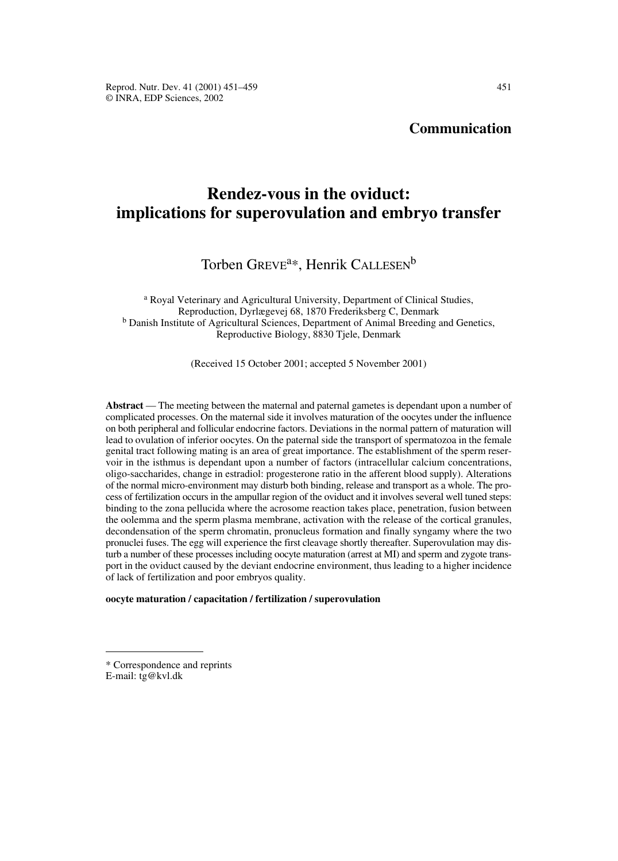# **Communication**

# **Rendez-vous in the oviduct: implications for superovulation and embryo transfer**

# Torben GREVE<sup>a\*</sup>, Henrik CALLESEN<sup>b</sup>

<sup>a</sup> Royal Veterinary and Agricultural University, Department of Clinical Studies, Reproduction, Dyrlægevej 68, 1870 Frederiksberg C, Denmark <sup>b</sup> Danish Institute of Agricultural Sciences, Department of Animal Breeding and Genetics, Reproductive Biology, 8830 Tjele, Denmark

(Received 15 October 2001; accepted 5 November 2001)

Abstract — The meeting between the maternal and paternal gametes is dependant upon a number of complicated processes. On the maternal side it involves maturation of the oocytes under the influence on both peripheral and follicular endocrine factors. Deviations in the normal pattern of maturation will lead to ovulation of inferior oocytes. On the paternal side the transport of spermatozoa in the female genital tract following mating is an area of great importance. The establishment of the sperm reservoir in the isthmus is dependant upon a number of factors (intracellular calcium concentrations, oligo-saccharides, change in estradiol: progesterone ratio in the afferent blood supply). Alterations of the normal micro-environment may disturb both binding, release and transport as a whole. The process of fertilization occurs in the ampullar region of the oviduct and it involves several well tuned steps: binding to the zona pellucida where the acrosome reaction takes place, penetration, fusion between the oolemma and the sperm plasma membrane, activation with the release of the cortical granules, decondensation of the sperm chromatin, pronucleus formation and finally syngamy where the two pronuclei fuses. The egg will experience the first cleavage shortly thereafter. Superovulation may disturb a number of these processes including oocyte maturation (arrest at MI) and sperm and zygote transport in the oviduct caused by the deviant endocrine environment, thus leading to a higher incidence of lack of fertilization and poor embryos quality.

#### **oocyte maturation / capacitation / fertilization / superovulation**

<sup>\*</sup> Correspondence and reprints E-mail: tg@kvl.dk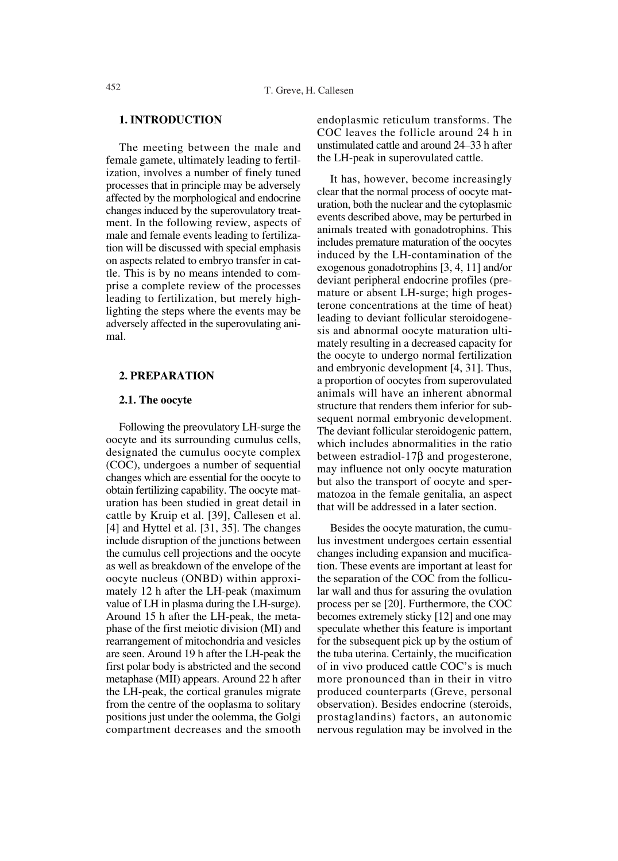## **1. INTRODUCTION**

The meeting between the male and female gamete, ultimately leading to fertilization, involves a number of finely tuned processes that in principle may be adversely affected by the morphological and endocrine changes induced by the superovulatory treatment. In the following review, aspects of male and female events leading to fertilization will be discussed with special emphasis on aspects related to embryo transfer in cattle. This is by no means intended to comprise a complete review of the processes leading to fertilization, but merely highlighting the steps where the events may be adversely affected in the superovulating animal.

#### **2. PREPARATION**

#### **2.1. The oocyte**

Following the preovulatory LH-surge the oocyte and its surrounding cumulus cells, designated the cumulus oocyte complex (COC), undergoes a number of sequential changes which are essential for the oocyte to obtain fertilizing capability. The oocyte maturation has been studied in great detail in cattle by Kruip et al. [39], Callesen et al. [4] and Hyttel et al. [31, 35]. The changes include disruption of the junctions between the cumulus cell projections and the oocyte as well as breakdown of the envelope of the oocyte nucleus (ONBD) within approximately 12 h after the LH-peak (maximum value of LH in plasma during the LH-surge). Around 15 h after the LH-peak, the metaphase of the first meiotic division (MI) and rearrangement of mitochondria and vesicles are seen. Around 19 h after the LH-peak the first polar body is abstricted and the second metaphase (MII) appears. Around 22 h after the LH-peak, the cortical granules migrate from the centre of the ooplasma to solitary positions just under the oolemma, the Golgi compartment decreases and the smooth endoplasmic reticulum transforms. The COC leaves the follicle around 24 h in unstimulated cattle and around 24–33 h after the LH-peak in superovulated cattle.

It has, however, become increasingly clear that the normal process of oocyte maturation, both the nuclear and the cytoplasmic events described above, may be perturbed in animals treated with gonadotrophins. This includes premature maturation of the oocytes induced by the LH-contamination of the exogenous gonadotrophins [3, 4, 11] and/or deviant peripheral endocrine profiles (premature or absent LH-surge; high progesterone concentrations at the time of heat) leading to deviant follicular steroidogenesis and abnormal oocyte maturation ultimately resulting in a decreased capacity for the oocyte to undergo normal fertilization and embryonic development [4, 31]. Thus, a proportion of oocytes from superovulated animals will have an inherent abnormal structure that renders them inferior for subsequent normal embryonic development. The deviant follicular steroidogenic pattern, which includes abnormalities in the ratio between estradiol-17 $\beta$  and progesterone, may influence not only oocyte maturation but also the transport of oocyte and spermatozoa in the female genitalia, an aspect that will be addressed in a later section.

Besides the oocyte maturation, the cumulus investment undergoes certain essential changes including expansion and mucification. These events are important at least for the separation of the COC from the follicular wall and thus for assuring the ovulation process per se [20]. Furthermore, the COC becomes extremely sticky [12] and one may speculate whether this feature is important for the subsequent pick up by the ostium of the tuba uterina. Certainly, the mucification of in vivo produced cattle COC's is much more pronounced than in their in vitro produced counterparts (Greve, personal observation). Besides endocrine (steroids, prostaglandins) factors, an autonomic nervous regulation may be involved in the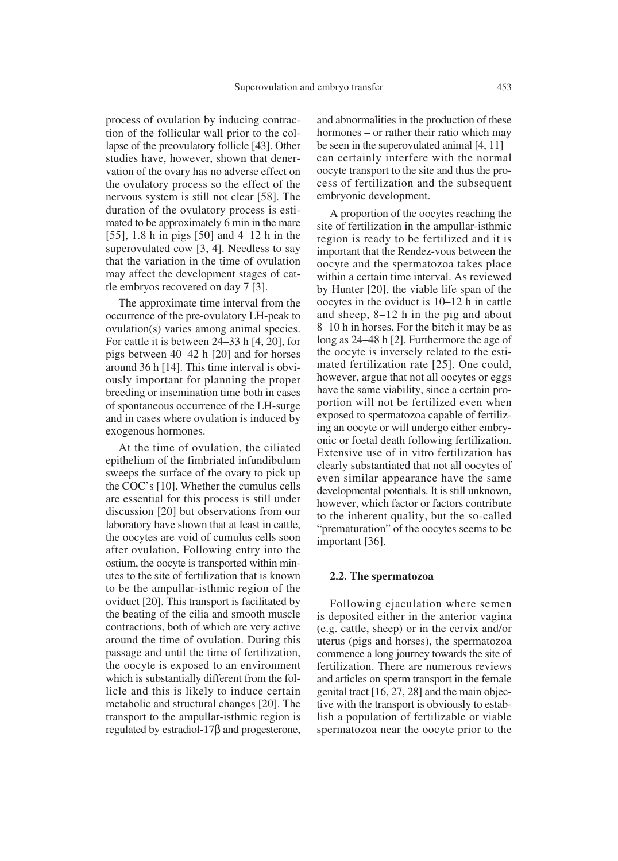process of ovulation by inducing contraction of the follicular wall prior to the collapse of the preovulatory follicle [43]. Other studies have, however, shown that denervation of the ovary has no adverse effect on the ovulatory process so the effect of the nervous system is still not clear [58]. The duration of the ovulatory process is estimated to be approximately 6 min in the mare [55], 1.8 h in pigs [50] and 4–12 h in the superovulated cow [3, 4]. Needless to say that the variation in the time of ovulation may affect the development stages of cattle embryos recovered on day 7 [3].

The approximate time interval from the occurrence of the pre-ovulatory LH-peak to ovulation(s) varies among animal species. For cattle it is between 24–33 h [4, 20], for pigs between 40–42 h [20] and for horses around 36 h [14]. This time interval is obviously important for planning the proper breeding or insemination time both in cases of spontaneous occurrence of the LH-surge and in cases where ovulation is induced by exogenous hormones.

At the time of ovulation, the ciliated epithelium of the fimbriated infundibulum sweeps the surface of the ovary to pick up the COC's [10]. Whether the cumulus cells are essential for this process is still under discussion [20] but observations from our laboratory have shown that at least in cattle, the oocytes are void of cumulus cells soon after ovulation. Following entry into the ostium, the oocyte is transported within minutes to the site of fertilization that is known to be the ampullar-isthmic region of the oviduct [20]. This transport is facilitated by the beating of the cilia and smooth muscle contractions, both of which are very active around the time of ovulation. During this passage and until the time of fertilization, the oocyte is exposed to an environment which is substantially different from the follicle and this is likely to induce certain metabolic and structural changes [20]. The transport to the ampullar-isthmic region is regulated by estradiol- $17\beta$  and progesterone, and abnormalities in the production of these hormones – or rather their ratio which may be seen in the superovulated animal [4, 11] – can certainly interfere with the normal oocyte transport to the site and thus the process of fertilization and the subsequent embryonic development.

A proportion of the oocytes reaching the site of fertilization in the ampullar-isthmic region is ready to be fertilized and it is important that the Rendez-vous between the oocyte and the spermatozoa takes place within a certain time interval. As reviewed by Hunter [20], the viable life span of the oocytes in the oviduct is 10–12 h in cattle and sheep, 8–12 h in the pig and about 8–10 h in horses. For the bitch it may be as long as 24–48 h [2]. Furthermore the age of the oocyte is inversely related to the estimated fertilization rate [25]. One could, however, argue that not all oocytes or eggs have the same viability, since a certain proportion will not be fertilized even when exposed to spermatozoa capable of fertilizing an oocyte or will undergo either embryonic or foetal death following fertilization. Extensive use of in vitro fertilization has clearly substantiated that not all oocytes of even similar appearance have the same developmental potentials. It is still unknown, however, which factor or factors contribute to the inherent quality, but the so-called "prematuration" of the oocytes seems to be important [36].

#### **2.2. The spermatozoa**

Following ejaculation where semen is deposited either in the anterior vagina (e.g. cattle, sheep) or in the cervix and/or uterus (pigs and horses), the spermatozoa commence a long journey towards the site of fertilization. There are numerous reviews and articles on sperm transport in the female genital tract [16, 27, 28] and the main objective with the transport is obviously to establish a population of fertilizable or viable spermatozoa near the oocyte prior to the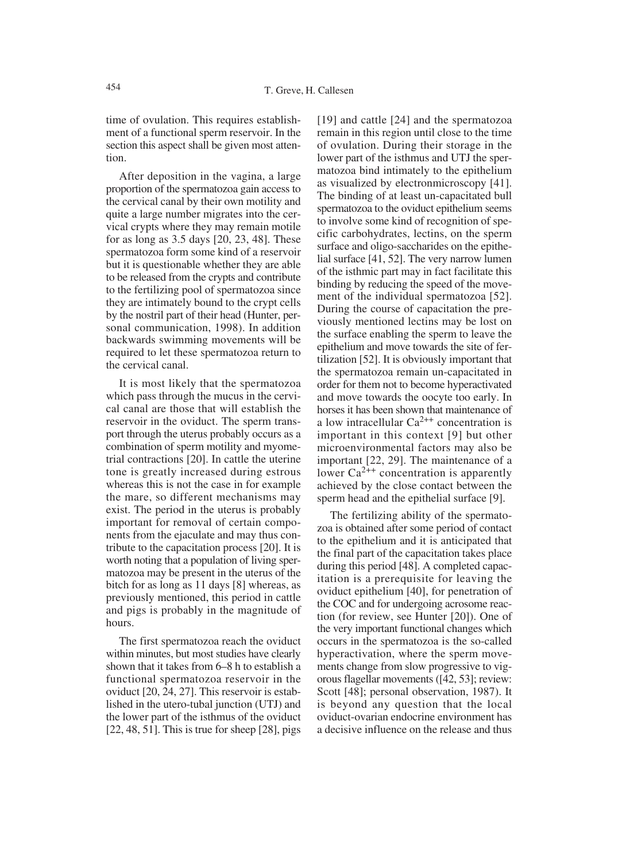time of ovulation. This requires establishment of a functional sperm reservoir. In the section this aspect shall be given most attention.

After deposition in the vagina, a large proportion of the spermatozoa gain access to the cervical canal by their own motility and quite a large number migrates into the cervical crypts where they may remain motile for as long as 3.5 days [20, 23, 48]. These spermatozoa form some kind of a reservoir but it is questionable whether they are able to be released from the crypts and contribute to the fertilizing pool of spermatozoa since they are intimately bound to the crypt cells by the nostril part of their head (Hunter, personal communication, 1998). In addition backwards swimming movements will be required to let these spermatozoa return to the cervical canal.

It is most likely that the spermatozoa which pass through the mucus in the cervical canal are those that will establish the reservoir in the oviduct. The sperm transport through the uterus probably occurs as a combination of sperm motility and myometrial contractions [20]. In cattle the uterine tone is greatly increased during estrous whereas this is not the case in for example the mare, so different mechanisms may exist. The period in the uterus is probably important for removal of certain components from the ejaculate and may thus contribute to the capacitation process [20]. It is worth noting that a population of living spermatozoa may be present in the uterus of the bitch for as long as 11 days [8] whereas, as previously mentioned, this period in cattle and pigs is probably in the magnitude of hours.

The first spermatozoa reach the oviduct within minutes, but most studies have clearly shown that it takes from 6–8 h to establish a functional spermatozoa reservoir in the oviduct [20, 24, 27]. This reservoir is established in the utero-tubal junction (UTJ) and the lower part of the isthmus of the oviduct  $[22, 48, 51]$ . This is true for sheep  $[28]$ , pigs [19] and cattle [24] and the spermatozoa remain in this region until close to the time of ovulation. During their storage in the lower part of the isthmus and UTJ the spermatozoa bind intimately to the epithelium as visualized by electronmicroscopy [41]. The binding of at least un-capacitated bull spermatozoa to the oviduct epithelium seems to involve some kind of recognition of specific carbohydrates, lectins, on the sperm surface and oligo-saccharides on the epithelial surface [41, 52]. The very narrow lumen of the isthmic part may in fact facilitate this binding by reducing the speed of the movement of the individual spermatozoa [52]. During the course of capacitation the previously mentioned lectins may be lost on the surface enabling the sperm to leave the epithelium and move towards the site of fertilization [52]. It is obviously important that the spermatozoa remain un-capacitated in order for them not to become hyperactivated and move towards the oocyte too early. In horses it has been shown that maintenance of a low intracellular  $Ca^{2++}$  concentration is important in this context [9] but other microenvironmental factors may also be important [22, 29]. The maintenance of a lower  $Ca^{2++}$  concentration is apparently achieved by the close contact between the sperm head and the epithelial surface [9].

The fertilizing ability of the spermatozoa is obtained after some period of contact to the epithelium and it is anticipated that the final part of the capacitation takes place during this period [48]. A completed capacitation is a prerequisite for leaving the oviduct epithelium [40], for penetration of the COC and for undergoing acrosome reaction (for review, see Hunter [20]). One of the very important functional changes which occurs in the spermatozoa is the so-called hyperactivation, where the sperm movements change from slow progressive to vigorous flagellar movements ([42, 53]; review: Scott [48]; personal observation, 1987). It is beyond any question that the local oviduct-ovarian endocrine environment has a decisive influence on the release and thus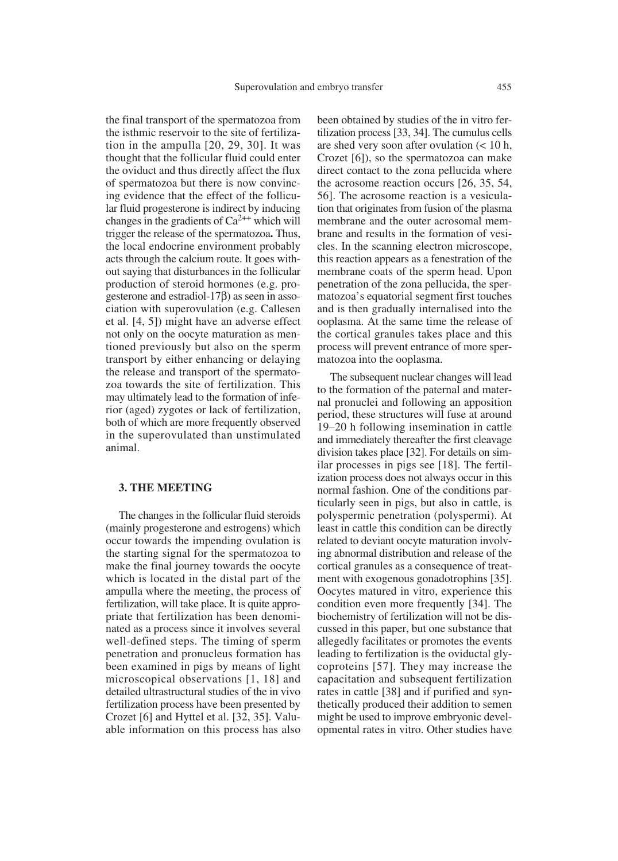the final transport of the spermatozoa from the isthmic reservoir to the site of fertilization in the ampulla [20, 29, 30]. It was thought that the follicular fluid could enter the oviduct and thus directly affect the flux of spermatozoa but there is now convincing evidence that the effect of the follicular fluid progesterone is indirect by inducing changes in the gradients of  $Ca^{2++}$  which will trigger the release of the spermatozoa**.** Thus, the local endocrine environment probably acts through the calcium route. It goes without saying that disturbances in the follicular production of steroid hormones (e.g. progesterone and estradiol- $17\beta$ ) as seen in association with superovulation (e.g. Callesen et al. [4, 5]) might have an adverse effect not only on the oocyte maturation as mentioned previously but also on the sperm transport by either enhancing or delaying the release and transport of the spermatozoa towards the site of fertilization. This may ultimately lead to the formation of inferior (aged) zygotes or lack of fertilization, both of which are more frequently observed in the superovulated than unstimulated animal.

#### **3. THE MEETING**

The changes in the follicular fluid steroids (mainly progesterone and estrogens) which occur towards the impending ovulation is the starting signal for the spermatozoa to make the final journey towards the oocyte which is located in the distal part of the ampulla where the meeting, the process of fertilization, will take place. It is quite appropriate that fertilization has been denominated as a process since it involves several well-defined steps. The timing of sperm penetration and pronucleus formation has been examined in pigs by means of light microscopical observations [1, 18] and detailed ultrastructural studies of the in vivo fertilization process have been presented by Crozet [6] and Hyttel et al. [32, 35]. Valuable information on this process has also been obtained by studies of the in vitro fertilization process [33, 34]. The cumulus cells are shed very soon after ovulation (< 10 h, Crozet [6]), so the spermatozoa can make direct contact to the zona pellucida where the acrosome reaction occurs [26, 35, 54, 56]. The acrosome reaction is a vesiculation that originates from fusion of the plasma membrane and the outer acrosomal membrane and results in the formation of vesicles. In the scanning electron microscope, this reaction appears as a fenestration of the membrane coats of the sperm head. Upon penetration of the zona pellucida, the spermatozoa's equatorial segment first touches and is then gradually internalised into the ooplasma. At the same time the release of the cortical granules takes place and this process will prevent entrance of more spermatozoa into the ooplasma.

The subsequent nuclear changes will lead to the formation of the paternal and maternal pronuclei and following an apposition period, these structures will fuse at around 19–20 h following insemination in cattle and immediately thereafter the first cleavage division takes place [32]. For details on similar processes in pigs see [18]. The fertilization process does not always occur in this normal fashion. One of the conditions particularly seen in pigs, but also in cattle, is polyspermic penetration (polyspermi). At least in cattle this condition can be directly related to deviant oocyte maturation involving abnormal distribution and release of the cortical granules as a consequence of treatment with exogenous gonadotrophins [35]. Oocytes matured in vitro, experience this condition even more frequently [34]. The biochemistry of fertilization will not be discussed in this paper, but one substance that allegedly facilitates or promotes the events leading to fertilization is the oviductal glycoproteins [57]. They may increase the capacitation and subsequent fertilization rates in cattle [38] and if purified and synthetically produced their addition to semen might be used to improve embryonic developmental rates in vitro. Other studies have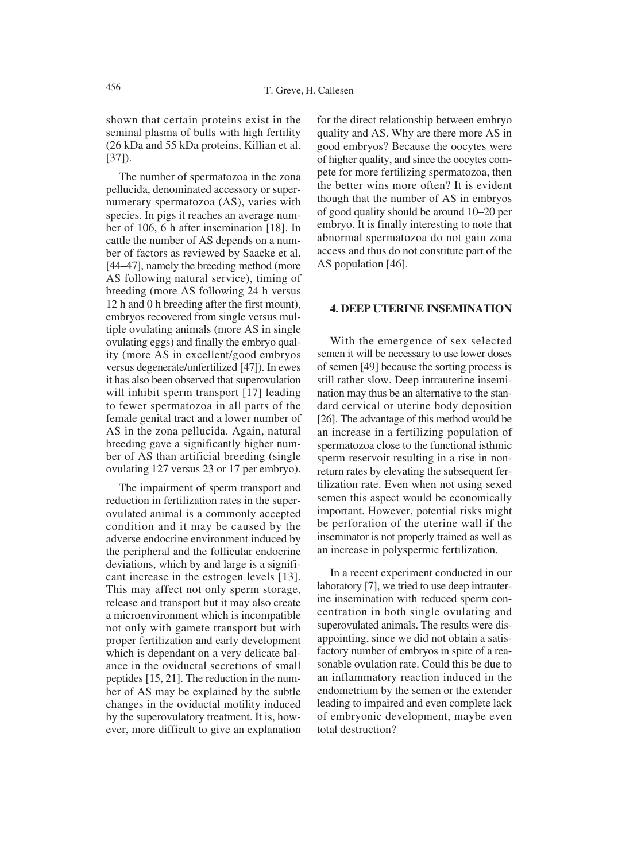shown that certain proteins exist in the seminal plasma of bulls with high fertility (26 kDa and 55 kDa proteins, Killian et al. [37]).

The number of spermatozoa in the zona pellucida, denominated accessory or supernumerary spermatozoa (AS), varies with species. In pigs it reaches an average number of 106, 6 h after insemination [18]. In cattle the number of AS depends on a number of factors as reviewed by Saacke et al. [44–47], namely the breeding method (more AS following natural service), timing of breeding (more AS following 24 h versus 12 h and 0 h breeding after the first mount), embryos recovered from single versus multiple ovulating animals (more AS in single ovulating eggs) and finally the embryo quality (more AS in excellent/good embryos versus degenerate/unfertilized [47]). In ewes it has also been observed that superovulation will inhibit sperm transport [17] leading to fewer spermatozoa in all parts of the female genital tract and a lower number of AS in the zona pellucida. Again, natural breeding gave a significantly higher number of AS than artificial breeding (single ovulating 127 versus 23 or 17 per embryo).

The impairment of sperm transport and reduction in fertilization rates in the superovulated animal is a commonly accepted condition and it may be caused by the adverse endocrine environment induced by the peripheral and the follicular endocrine deviations, which by and large is a significant increase in the estrogen levels [13]. This may affect not only sperm storage, release and transport but it may also create a microenvironment which is incompatible not only with gamete transport but with proper fertilization and early development which is dependant on a very delicate balance in the oviductal secretions of small peptides [15, 21]. The reduction in the number of AS may be explained by the subtle changes in the oviductal motility induced by the superovulatory treatment. It is, however, more difficult to give an explanation for the direct relationship between embryo quality and AS. Why are there more AS in good embryos? Because the oocytes were of higher quality, and since the oocytes compete for more fertilizing spermatozoa, then the better wins more often? It is evident though that the number of AS in embryos of good quality should be around 10–20 per embryo. It is finally interesting to note that abnormal spermatozoa do not gain zona access and thus do not constitute part of the AS population [46].

### **4. DEEP UTERINE INSEMINATION**

With the emergence of sex selected semen it will be necessary to use lower doses of semen [49] because the sorting process is still rather slow. Deep intrauterine insemination may thus be an alternative to the standard cervical or uterine body deposition [26]. The advantage of this method would be an increase in a fertilizing population of spermatozoa close to the functional isthmic sperm reservoir resulting in a rise in nonreturn rates by elevating the subsequent fertilization rate. Even when not using sexed semen this aspect would be economically important. However, potential risks might be perforation of the uterine wall if the inseminator is not properly trained as well as an increase in polyspermic fertilization.

In a recent experiment conducted in our laboratory [7], we tried to use deep intrauterine insemination with reduced sperm concentration in both single ovulating and superovulated animals. The results were disappointing, since we did not obtain a satisfactory number of embryos in spite of a reasonable ovulation rate. Could this be due to an inflammatory reaction induced in the endometrium by the semen or the extender leading to impaired and even complete lack of embryonic development, maybe even total destruction?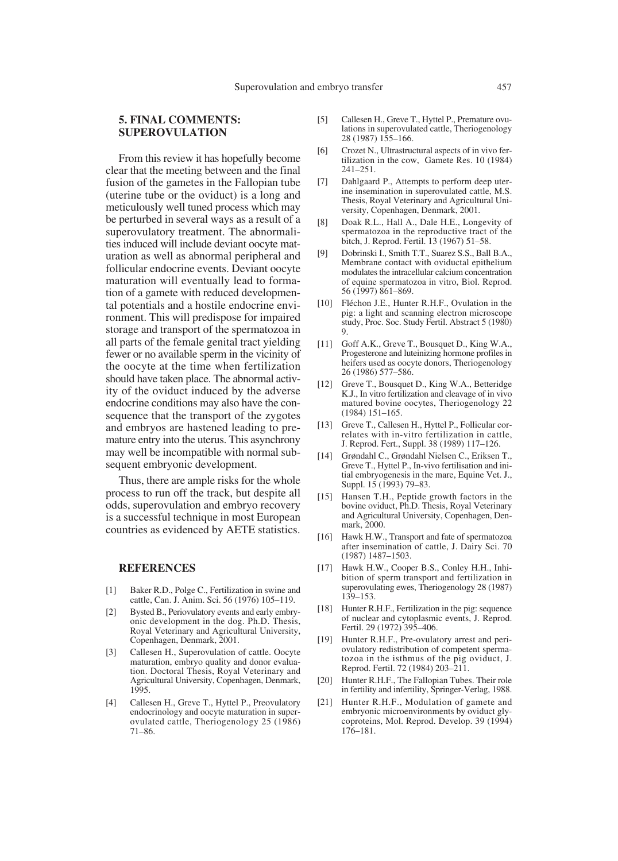## **5. FINAL COMMENTS: SUPEROVULATION**

From this review it has hopefully become clear that the meeting between and the final fusion of the gametes in the Fallopian tube (uterine tube or the oviduct) is a long and meticulously well tuned process which may be perturbed in several ways as a result of a superovulatory treatment. The abnormalities induced will include deviant oocyte maturation as well as abnormal peripheral and follicular endocrine events. Deviant oocyte maturation will eventually lead to formation of a gamete with reduced developmental potentials and a hostile endocrine environment. This will predispose for impaired storage and transport of the spermatozoa in all parts of the female genital tract yielding fewer or no available sperm in the vicinity of the oocyte at the time when fertilization should have taken place. The abnormal activity of the oviduct induced by the adverse endocrine conditions may also have the consequence that the transport of the zygotes and embryos are hastened leading to premature entry into the uterus. This asynchrony may well be incompatible with normal subsequent embryonic development.

Thus, there are ample risks for the whole process to run off the track, but despite all odds, superovulation and embryo recovery is a successful technique in most European countries as evidenced by AETE statistics.

#### **REFERENCES**

- [1] Baker R.D., Polge C., Fertilization in swine and cattle, Can. J. Anim. Sci. 56 (1976) 105–119.
- [2] Bysted B., Periovulatory events and early embryonic development in the dog. Ph.D. Thesis, Royal Veterinary and Agricultural University, Copenhagen, Denmark, 2001.
- [3] Callesen H., Superovulation of cattle. Oocyte maturation, embryo quality and donor evaluation. Doctoral Thesis, Royal Veterinary and Agricultural University, Copenhagen, Denmark, 1995.
- [4] Callesen H., Greve T., Hyttel P., Preovulatory endocrinology and oocyte maturation in superovulated cattle, Theriogenology 25 (1986) 71–86.
- [5] Callesen H., Greve T., Hyttel P., Premature ovulations in superovulated cattle, Theriogenology 28 (1987) 155–166.
- [6] Crozet N., Ultrastructural aspects of in vivo fertilization in the cow, Gamete Res. 10 (1984) 241–251.
- [7] Dahlgaard P., Attempts to perform deep uterine insemination in superovulated cattle, M.S. Thesis, Royal Veterinary and Agricultural University, Copenhagen, Denmark, 2001.
- [8] Doak R.L., Hall A., Dale H.E., Longevity of spermatozoa in the reproductive tract of the bitch, J. Reprod. Fertil. 13 (1967) 51–58.
- [9] Dobrinski I., Smith T.T., Suarez S.S., Ball B.A., Membrane contact with oviductal epithelium modulates the intracellular calcium concentration of equine spermatozoa in vitro, Biol. Reprod. 56 (1997) 861–869.
- [10] Fléchon J.E., Hunter R.H.F., Ovulation in the pig: a light and scanning electron microscope study, Proc. Soc. Study Fertil. Abstract 5 (1980) 9.
- [11] Goff A.K., Greve T., Bousquet D., King W.A., Progesterone and luteinizing hormone profiles in heifers used as oocyte donors, Theriogenology 26 (1986) 577–586.
- [12] Greve T., Bousquet D., King W.A., Betteridge K.J., In vitro fertilization and cleavage of in vivo matured bovine oocytes, Theriogenology 22 (1984) 151–165.
- [13] Greve T., Callesen H., Hyttel P., Follicular correlates with in-vitro fertilization in cattle, J. Reprod. Fert., Suppl. 38 (1989) 117–126.
- [14] Grøndahl C., Grøndahl Nielsen C., Eriksen T., Greve T., Hyttel P., In-vivo fertilisation and initial embryogenesis in the mare, Equine Vet. J., Suppl. 15 (1993) 79–83.
- [15] Hansen T.H., Peptide growth factors in the bovine oviduct, Ph.D. Thesis, Royal Veterinary and Agricultural University, Copenhagen, Denmark, 2000.
- [16] Hawk H.W., Transport and fate of spermatozoa after insemination of cattle, J. Dairy Sci. 70 (1987) 1487–1503.
- [17] Hawk H.W., Cooper B.S., Conley H.H., Inhibition of sperm transport and fertilization in superovulating ewes, Theriogenology 28 (1987) 139–153.
- [18] Hunter R.H.F., Fertilization in the pig: sequence of nuclear and cytoplasmic events, J. Reprod. Fertil. 29 (1972) 395–406.
- [19] Hunter R.H.F., Pre-ovulatory arrest and periovulatory redistribution of competent spermatozoa in the isthmus of the pig oviduct, J. Reprod. Fertil. 72 (1984) 203–211.
- [20] Hunter R.H.F., The Fallopian Tubes. Their role in fertility and infertility, Springer-Verlag, 1988.
- [21] Hunter R.H.F., Modulation of gamete and embryonic microenvironments by oviduct glycoproteins, Mol. Reprod. Develop. 39 (1994) 176–181.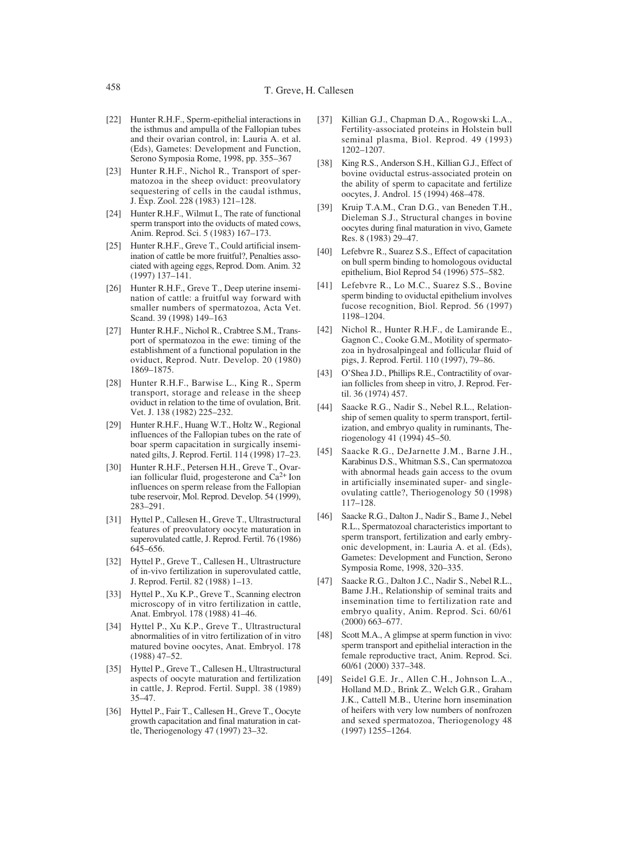- [22] Hunter R.H.F., Sperm-epithelial interactions in the isthmus and ampulla of the Fallopian tubes and their ovarian control, in: Lauria A. et al. (Eds), Gametes: Development and Function, Serono Symposia Rome, 1998, pp. 355–367
- [23] Hunter R.H.F., Nichol R., Transport of spermatozoa in the sheep oviduct: preovulatory sequestering of cells in the caudal isthmus, J. Exp. Zool. 228 (1983) 121–128.
- [24] Hunter R.H.F., Wilmut I., The rate of functional sperm transport into the oviducts of mated cows, Anim. Reprod. Sci. 5 (1983) 167–173.
- [25] Hunter R.H.F., Greve T., Could artificial insemination of cattle be more fruitful?, Penalties associated with ageing eggs, Reprod. Dom. Anim. 32 (1997) 137–141.
- [26] Hunter R.H.F., Greve T., Deep uterine insemination of cattle: a fruitful way forward with smaller numbers of spermatozoa, Acta Vet. Scand. 39 (1998) 149–163
- [27] Hunter R.H.F., Nichol R., Crabtree S.M., Transport of spermatozoa in the ewe: timing of the establishment of a functional population in the oviduct, Reprod. Nutr. Develop. 20 (1980) 1869–1875.
- [28] Hunter R.H.F., Barwise L., King R., Sperm transport, storage and release in the sheep oviduct in relation to the time of ovulation, Brit. Vet. J. 138 (1982) 225–232.
- [29] Hunter R.H.F., Huang W.T., Holtz W., Regional influences of the Fallopian tubes on the rate of boar sperm capacitation in surgically inseminated gilts, J. Reprod. Fertil. 114 (1998) 17–23.
- [30] Hunter R.H.F., Petersen H.H., Greve T., Ovarian follicular fluid, progesterone and  $Ca<sup>2+</sup>$  Ion influences on sperm release from the Fallopian tube reservoir, Mol. Reprod. Develop. 54 (1999), 283–291.
- [31] Hyttel P., Callesen H., Greve T., Ultrastructural features of preovulatory oocyte maturation in superovulated cattle, J. Reprod. Fertil. 76 (1986) 645–656.
- [32] Hyttel P., Greve T., Callesen H., Ultrastructure of in-vivo fertilization in superovulated cattle, J. Reprod. Fertil. 82 (1988) 1–13.
- [33] Hyttel P., Xu K.P., Greve T., Scanning electron microscopy of in vitro fertilization in cattle, Anat. Embryol. 178 (1988) 41–46.
- [34] Hyttel P., Xu K.P., Greve T., Ultrastructural abnormalities of in vitro fertilization of in vitro matured bovine oocytes, Anat. Embryol. 178 (1988) 47–52.
- [35] Hyttel P., Greve T., Callesen H., Ultrastructural aspects of oocyte maturation and fertilization in cattle, J. Reprod. Fertil. Suppl. 38 (1989) 35–47.
- [36] Hyttel P., Fair T., Callesen H., Greve T., Oocyte growth capacitation and final maturation in cattle, Theriogenology 47 (1997) 23–32.
- [37] Killian G.J., Chapman D.A., Rogowski L.A., Fertility-associated proteins in Holstein bull seminal plasma, Biol. Reprod. 49 (1993) 1202–1207.
- [38] King R.S., Anderson S.H., Killian G.J., Effect of bovine oviductal estrus-associated protein on the ability of sperm to capacitate and fertilize oocytes, J. Androl. 15 (1994) 468–478.
- [39] Kruip T.A.M., Cran D.G., van Beneden T.H., Dieleman S.J., Structural changes in bovine oocytes during final maturation in vivo, Gamete Res. 8 (1983) 29–47.
- [40] Lefebvre R., Suarez S.S., Effect of capacitation on bull sperm binding to homologous oviductal epithelium, Biol Reprod 54 (1996) 575–582.
- [41] Lefebvre R., Lo M.C., Suarez S.S., Bovine sperm binding to oviductal epithelium involves fucose recognition, Biol. Reprod. 56 (1997) 1198–1204.
- [42] Nichol R., Hunter R.H.F., de Lamirande E., Gagnon C., Cooke G.M., Motility of spermatozoa in hydrosalpingeal and follicular fluid of pigs, J. Reprod. Fertil. 110 (1997), 79–86.
- [43] O'Shea J.D., Phillips R.E., Contractility of ovarian follicles from sheep in vitro, J. Reprod. Fertil. 36 (1974) 457.
- [44] Saacke R.G., Nadir S., Nebel R.L., Relationship of semen quality to sperm transport, fertilization, and embryo quality in ruminants, Theriogenology 41 (1994) 45–50.
- [45] Saacke R.G., DeJarnette J.M., Barne J.H., Karabinus D.S., Whitman S.S., Can spermatozoa with abnormal heads gain access to the ovum in artificially inseminated super- and singleovulating cattle?, Theriogenology 50 (1998) 117–128.
- [46] Saacke R.G., Dalton J., Nadir S., Bame J., Nebel R.L., Spermatozoal characteristics important to sperm transport, fertilization and early embryonic development, in: Lauria A. et al. (Eds), Gametes: Development and Function, Serono Symposia Rome, 1998, 320–335.
- [47] Saacke R.G., Dalton J.C., Nadir S., Nebel R.L., Bame J.H., Relationship of seminal traits and insemination time to fertilization rate and embryo quality, Anim. Reprod. Sci. 60/61 (2000) 663–677.
- [48] Scott M.A., A glimpse at sperm function in vivo: sperm transport and epithelial interaction in the female reproductive tract, Anim. Reprod. Sci. 60/61 (2000) 337–348.
- [49] Seidel G.E. Jr., Allen C.H., Johnson L.A., Holland M.D., Brink Z., Welch G.R., Graham J.K., Cattell M.B., Uterine horn insemination of heifers with very low numbers of nonfrozen and sexed spermatozoa, Theriogenology 48 (1997) 1255–1264.